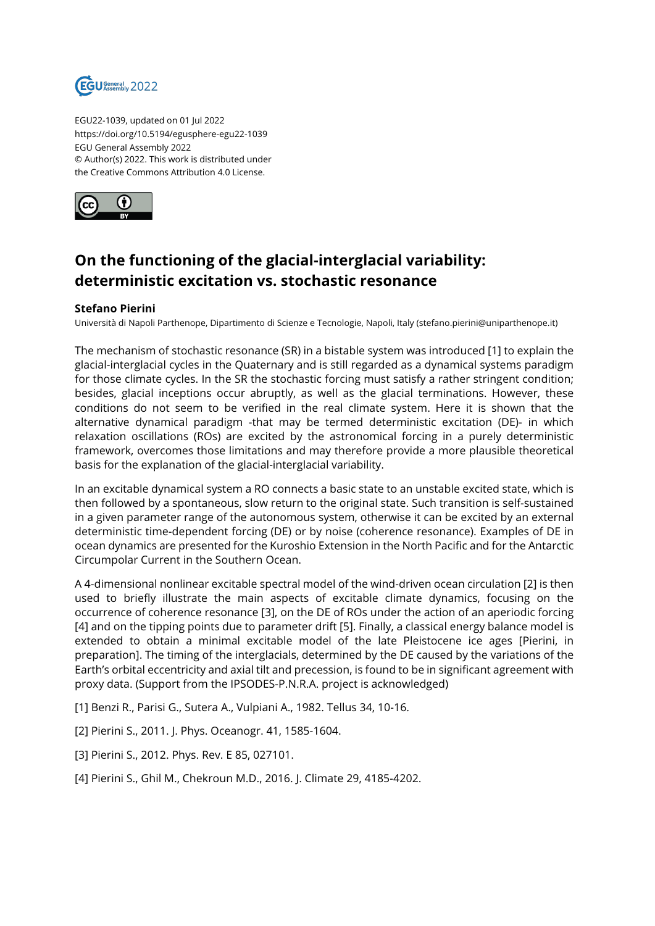

EGU22-1039, updated on 01 Jul 2022 https://doi.org/10.5194/egusphere-egu22-1039 EGU General Assembly 2022 © Author(s) 2022. This work is distributed under the Creative Commons Attribution 4.0 License.



## **On the functioning of the glacial-interglacial variability: deterministic excitation vs. stochastic resonance**

## **Stefano Pierini**

Università di Napoli Parthenope, Dipartimento di Scienze e Tecnologie, Napoli, Italy (stefano.pierini@uniparthenope.it)

The mechanism of stochastic resonance (SR) in a bistable system was introduced [1] to explain the glacial-interglacial cycles in the Quaternary and is still regarded as a dynamical systems paradigm for those climate cycles. In the SR the stochastic forcing must satisfy a rather stringent condition; besides, glacial inceptions occur abruptly, as well as the glacial terminations. However, these conditions do not seem to be verified in the real climate system. Here it is shown that the alternative dynamical paradigm -that may be termed deterministic excitation (DE)- in which relaxation oscillations (ROs) are excited by the astronomical forcing in a purely deterministic framework, overcomes those limitations and may therefore provide a more plausible theoretical basis for the explanation of the glacial-interglacial variability.

In an excitable dynamical system a RO connects a basic state to an unstable excited state, which is then followed by a spontaneous, slow return to the original state. Such transition is self-sustained in a given parameter range of the autonomous system, otherwise it can be excited by an external deterministic time-dependent forcing (DE) or by noise (coherence resonance). Examples of DE in ocean dynamics are presented for the Kuroshio Extension in the North Pacific and for the Antarctic Circumpolar Current in the Southern Ocean.

A 4-dimensional nonlinear excitable spectral model of the wind-driven ocean circulation [2] is then used to briefly illustrate the main aspects of excitable climate dynamics, focusing on the occurrence of coherence resonance [3], on the DE of ROs under the action of an aperiodic forcing [4] and on the tipping points due to parameter drift [5]. Finally, a classical energy balance model is extended to obtain a minimal excitable model of the late Pleistocene ice ages [Pierini, in preparation]. The timing of the interglacials, determined by the DE caused by the variations of the Earth's orbital eccentricity and axial tilt and precession, is found to be in significant agreement with proxy data. (Support from the IPSODES-P.N.R.A. project is acknowledged)

[1] Benzi R., Parisi G., Sutera A., Vulpiani A., 1982. Tellus 34, 10-16.

[2] Pierini S., 2011. J. Phys. Oceanogr. 41, 1585-1604.

[3] Pierini S., 2012. Phys. Rev. E 85, 027101.

[4] Pierini S., Ghil M., Chekroun M.D., 2016. J. Climate 29, 4185-4202.